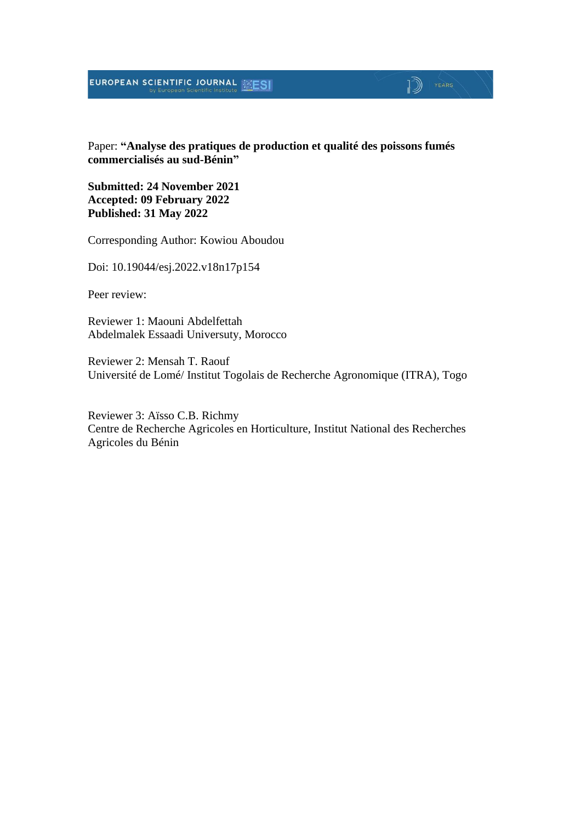#### EUROPEAN SCIENTIFIC JOURNAL **ESI**

#### Paper: **"Analyse des pratiques de production et qualité des poissons fumés commercialisés au sud-Bénin"**

 $\mathbb{D}$  YEARS

**Submitted: 24 November 2021 Accepted: 09 February 2022 Published: 31 May 2022**

Corresponding Author: Kowiou Aboudou

Doi: 10.19044/esj.2022.v18n17p154

Peer review:

Reviewer 1: Maouni Abdelfettah Abdelmalek Essaadi Universuty, Morocco

Reviewer 2: Mensah T. Raouf Université de Lomé/ Institut Togolais de Recherche Agronomique (ITRA), Togo

Reviewer 3: Aïsso C.B. Richmy Centre de Recherche Agricoles en Horticulture, Institut National des Recherches Agricoles du Bénin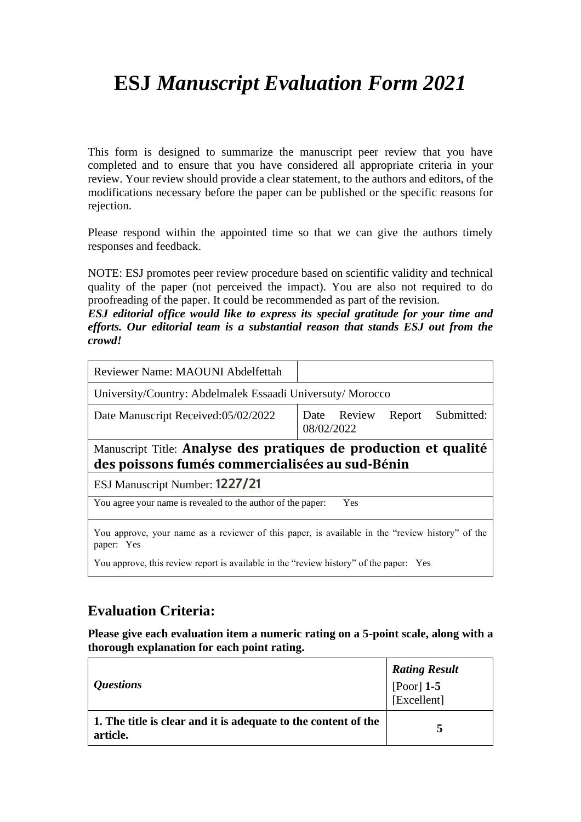# **ESJ** *Manuscript Evaluation Form 2021*

This form is designed to summarize the manuscript peer review that you have completed and to ensure that you have considered all appropriate criteria in your review. Your review should provide a clear statement, to the authors and editors, of the modifications necessary before the paper can be published or the specific reasons for rejection.

Please respond within the appointed time so that we can give the authors timely responses and feedback.

NOTE: ESJ promotes peer review procedure based on scientific validity and technical quality of the paper (not perceived the impact). You are also not required to do proofreading of the paper. It could be recommended as part of the revision.

*ESJ editorial office would like to express its special gratitude for your time and efforts. Our editorial team is a substantial reason that stands ESJ out from the crowd!*

| Reviewer Name: MAOUNI Abdelfettah                                                                                   |                                                   |  |
|---------------------------------------------------------------------------------------------------------------------|---------------------------------------------------|--|
| University/Country: Abdelmalek Essaadi Universuty/Morocco                                                           |                                                   |  |
| Date Manuscript Received:05/02/2022                                                                                 | Submitted:<br>Date Review<br>Report<br>08/02/2022 |  |
| Manuscript Title: Analyse des pratiques de production et qualité<br>des poissons fumés commercialisées au sud-Bénin |                                                   |  |
| ESJ Manuscript Number: 1227/21                                                                                      |                                                   |  |
| You agree your name is revealed to the author of the paper:<br>Yes                                                  |                                                   |  |
| You approve, your name as a reviewer of this paper, is available in the "review history" of the<br>paper: Yes       |                                                   |  |
| You approve, this review report is available in the "review history" of the paper: Yes                              |                                                   |  |

#### **Evaluation Criteria:**

**Please give each evaluation item a numeric rating on a 5-point scale, along with a thorough explanation for each point rating.**

| <i><b>Questions</b></i>                                                    | <b>Rating Result</b><br>[Poor] $1-5$<br>[Excellent] |
|----------------------------------------------------------------------------|-----------------------------------------------------|
| 1. The title is clear and it is adequate to the content of the<br>article. |                                                     |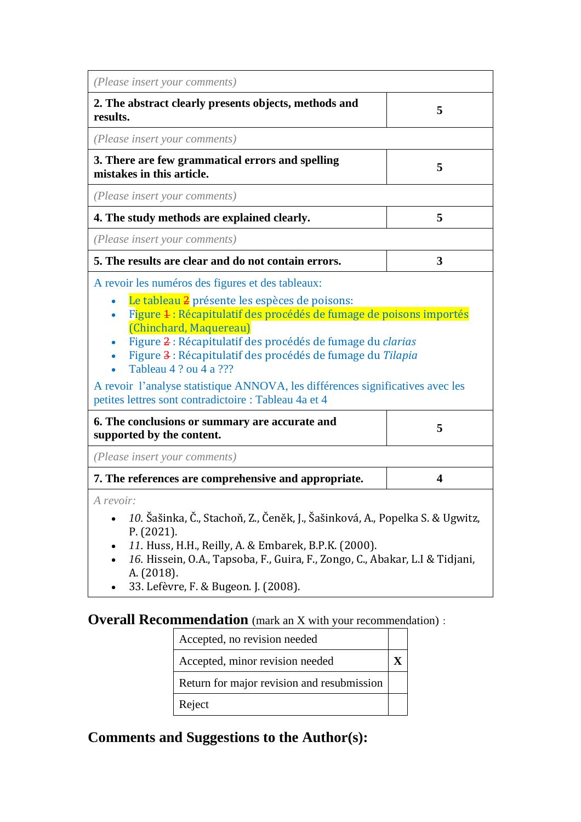| (Please insert your comments)                                                                                                                                                                                                                                                                                                                                                                                                                                                                        |   |
|------------------------------------------------------------------------------------------------------------------------------------------------------------------------------------------------------------------------------------------------------------------------------------------------------------------------------------------------------------------------------------------------------------------------------------------------------------------------------------------------------|---|
| 2. The abstract clearly presents objects, methods and<br>results.                                                                                                                                                                                                                                                                                                                                                                                                                                    | 5 |
| (Please insert your comments)                                                                                                                                                                                                                                                                                                                                                                                                                                                                        |   |
| 3. There are few grammatical errors and spelling<br>mistakes in this article.                                                                                                                                                                                                                                                                                                                                                                                                                        | 5 |
| (Please insert your comments)                                                                                                                                                                                                                                                                                                                                                                                                                                                                        |   |
| 4. The study methods are explained clearly.                                                                                                                                                                                                                                                                                                                                                                                                                                                          | 5 |
| (Please insert your comments)                                                                                                                                                                                                                                                                                                                                                                                                                                                                        |   |
| 5. The results are clear and do not contain errors.                                                                                                                                                                                                                                                                                                                                                                                                                                                  | 3 |
| A revoir les numéros des figures et des tableaux:<br>Le tableau 2 présente les espèces de poisons:<br>Figure 4 : Récapitulatif des procédés de fumage de poisons importés<br>(Chinchard, Maquereau)<br>Figure 2 : Récapitulatif des procédés de fumage du clarias<br>Figure 3 : Récapitulatif des procédés de fumage du Tilapia<br>Tableau 4 ? ou 4 a ???<br>A revoir l'analyse statistique ANNOVA, les différences significatives avec les<br>petites lettres sont contradictoire : Tableau 4a et 4 |   |
| 6. The conclusions or summary are accurate and<br>supported by the content.                                                                                                                                                                                                                                                                                                                                                                                                                          | 5 |
| (Please insert your comments)                                                                                                                                                                                                                                                                                                                                                                                                                                                                        |   |
| 7. The references are comprehensive and appropriate.                                                                                                                                                                                                                                                                                                                                                                                                                                                 | 4 |
| A revoir:<br>10. Šašinka, Č., Stachoň, Z., Čeněk, J., Šašinková, A., Popelka S. & Ugwitz,<br>P. (2021).<br>11. Huss, H.H., Reilly, A. & Embarek, B.P.K. (2000).<br>16. Hissein, O.A., Tapsoba, F., Guira, F., Zongo, C., Abakar, L.I & Tidjani,<br>A. (2018).<br>33. Lefèvre, F. & Bugeon. J. (2008).                                                                                                                                                                                                |   |

## **Overall Recommendation** (mark an X with your recommendation):

| Accepted, no revision needed               |  |
|--------------------------------------------|--|
| Accepted, minor revision needed            |  |
| Return for major revision and resubmission |  |
| Reject                                     |  |

## **Comments and Suggestions to the Author(s):**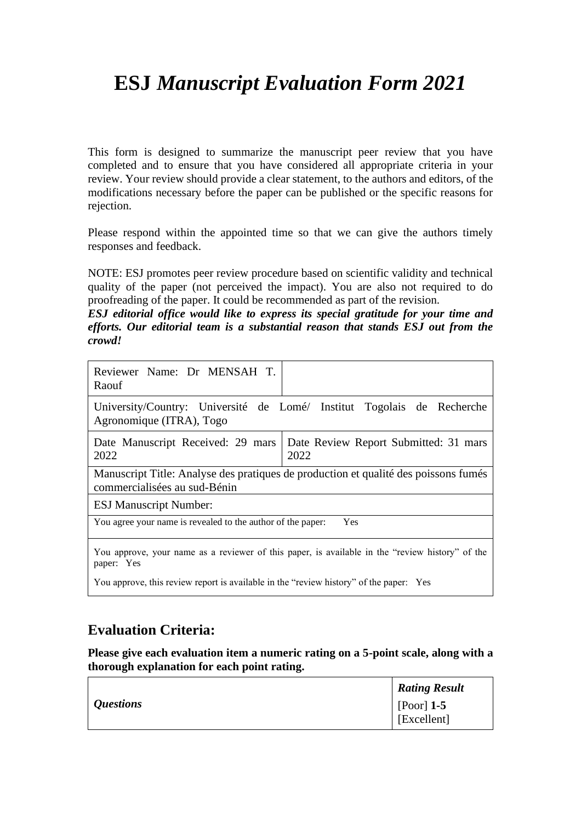## **ESJ** *Manuscript Evaluation Form 2021*

This form is designed to summarize the manuscript peer review that you have completed and to ensure that you have considered all appropriate criteria in your review. Your review should provide a clear statement, to the authors and editors, of the modifications necessary before the paper can be published or the specific reasons for rejection.

Please respond within the appointed time so that we can give the authors timely responses and feedback.

NOTE: ESJ promotes peer review procedure based on scientific validity and technical quality of the paper (not perceived the impact). You are also not required to do proofreading of the paper. It could be recommended as part of the revision.

*ESJ editorial office would like to express its special gratitude for your time and efforts. Our editorial team is a substantial reason that stands ESJ out from the crowd!*

| Reviewer Name: Dr MENSAH T.<br>Raouf                                                   |                                                                                                 |
|----------------------------------------------------------------------------------------|-------------------------------------------------------------------------------------------------|
| Agronomique (ITRA), Togo                                                               | University/Country: Université de Lomé/ Institut Togolais de Recherche                          |
| Date Manuscript Received: 29 mars<br>2022                                              | Date Review Report Submitted: 31 mars<br>2022                                                   |
| commercialisées au sud-Bénin                                                           | Manuscript Title: Analyse des pratiques de production et qualité des poissons fumés             |
| <b>ESJ Manuscript Number:</b>                                                          |                                                                                                 |
| You agree your name is revealed to the author of the paper:                            | Yes                                                                                             |
| paper: Yes                                                                             | You approve, your name as a reviewer of this paper, is available in the "review history" of the |
| You approve, this review report is available in the "review history" of the paper: Yes |                                                                                                 |

#### **Evaluation Criteria:**

**Please give each evaluation item a numeric rating on a 5-point scale, along with a thorough explanation for each point rating.**

|                  | <b>Rating Result</b>        |
|------------------|-----------------------------|
| <i>Questions</i> | [Poor] $1-5$<br>[Excellent] |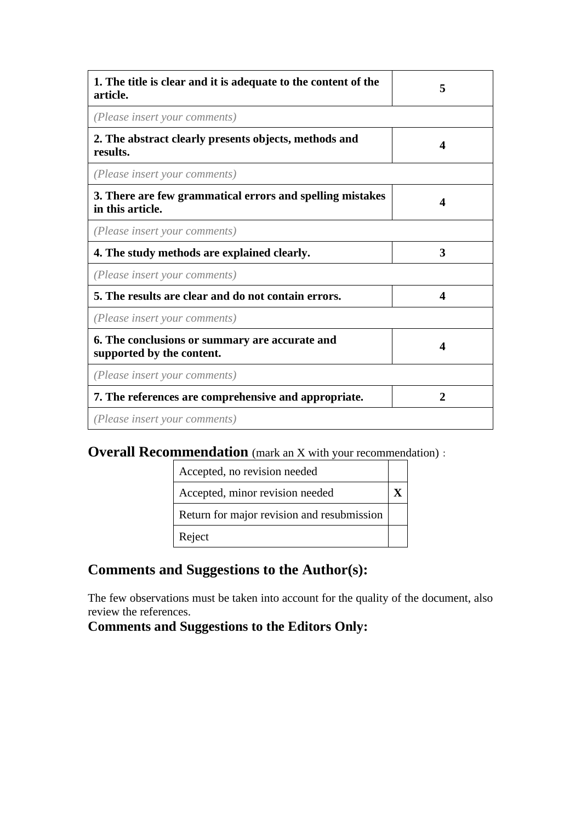| 1. The title is clear and it is adequate to the content of the<br>article.    | 5                |
|-------------------------------------------------------------------------------|------------------|
| (Please insert your comments)                                                 |                  |
| 2. The abstract clearly presents objects, methods and<br>results.             | 4                |
| (Please insert your comments)                                                 |                  |
| 3. There are few grammatical errors and spelling mistakes<br>in this article. | Δ                |
| (Please insert your comments)                                                 |                  |
| 4. The study methods are explained clearly.                                   | 3                |
| (Please insert your comments)                                                 |                  |
| 5. The results are clear and do not contain errors.                           | $\boldsymbol{4}$ |
| (Please insert your comments)                                                 |                  |
| 6. The conclusions or summary are accurate and<br>supported by the content.   | 4                |
| (Please insert your comments)                                                 |                  |
| 7. The references are comprehensive and appropriate.                          | $\mathbf{2}$     |
| (Please insert your comments)                                                 |                  |

### **Overall Recommendation** (mark an X with your recommendation):

| Accepted, no revision needed               |  |
|--------------------------------------------|--|
| Accepted, minor revision needed            |  |
| Return for major revision and resubmission |  |
| Reject                                     |  |

### **Comments and Suggestions to the Author(s):**

The few observations must be taken into account for the quality of the document, also review the references.

#### **Comments and Suggestions to the Editors Only:**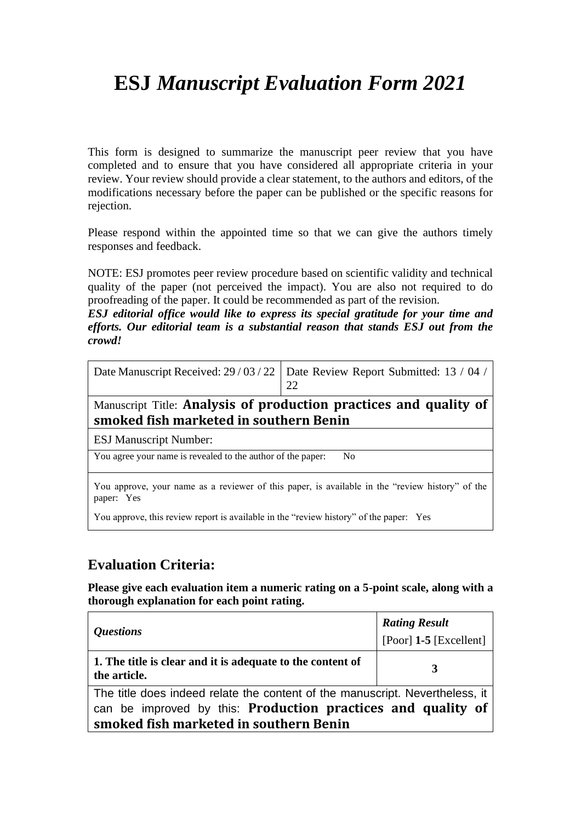# **ESJ** *Manuscript Evaluation Form 2021*

This form is designed to summarize the manuscript peer review that you have completed and to ensure that you have considered all appropriate criteria in your review. Your review should provide a clear statement, to the authors and editors, of the modifications necessary before the paper can be published or the specific reasons for rejection.

Please respond within the appointed time so that we can give the authors timely responses and feedback.

NOTE: ESJ promotes peer review procedure based on scientific validity and technical quality of the paper (not perceived the impact). You are also not required to do proofreading of the paper. It could be recommended as part of the revision.

*ESJ editorial office would like to express its special gratitude for your time and efforts. Our editorial team is a substantial reason that stands ESJ out from the crowd!*

| Date Manuscript Received: 29/03/22   Date Review Report Submitted: 13/04/ |
|---------------------------------------------------------------------------|
|                                                                           |

Manuscript Title: **Analysis of production practices and quality of smoked fish marketed in southern Benin**

ESJ Manuscript Number:

You agree your name is revealed to the author of the paper: No

You approve, your name as a reviewer of this paper, is available in the "review history" of the paper: Yes

You approve, this review report is available in the "review history" of the paper: Yes

#### **Evaluation Criteria:**

**Please give each evaluation item a numeric rating on a 5-point scale, along with a thorough explanation for each point rating.**

| <i><b>Questions</b></i>                                                                                                                                                                | <b>Rating Result</b><br>[Poor] $1-5$ [Excellent] |
|----------------------------------------------------------------------------------------------------------------------------------------------------------------------------------------|--------------------------------------------------|
| 1. The title is clear and it is adequate to the content of<br>the article.                                                                                                             |                                                  |
| The title does indeed relate the content of the manuscript. Nevertheless, it<br>can be improved by this: Production practices and quality of<br>smoked fish marketed in southern Benin |                                                  |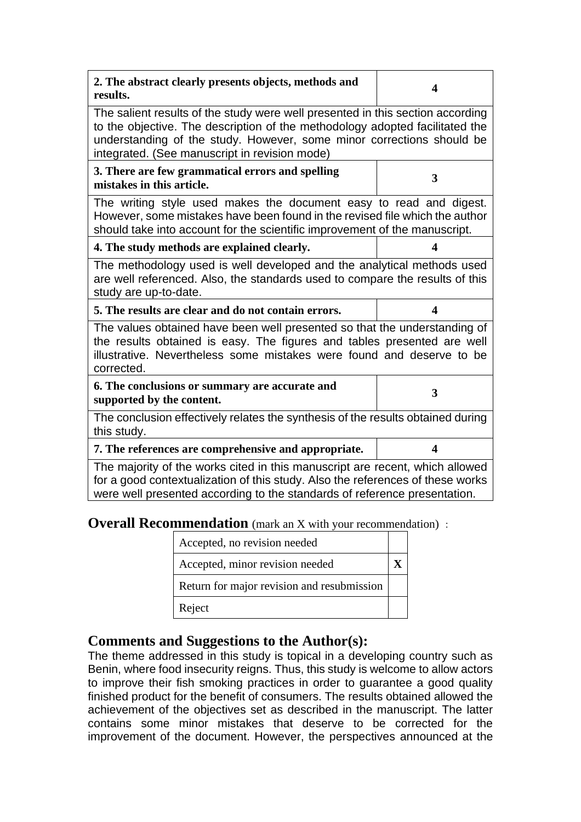| 2. The abstract clearly presents objects, methods and<br>results.                                                                                                                                                                                                                        | 4 |
|------------------------------------------------------------------------------------------------------------------------------------------------------------------------------------------------------------------------------------------------------------------------------------------|---|
| The salient results of the study were well presented in this section according<br>to the objective. The description of the methodology adopted facilitated the<br>understanding of the study. However, some minor corrections should be<br>integrated. (See manuscript in revision mode) |   |
| 3. There are few grammatical errors and spelling<br>mistakes in this article.                                                                                                                                                                                                            | 3 |
| The writing style used makes the document easy to read and digest.<br>However, some mistakes have been found in the revised file which the author<br>should take into account for the scientific improvement of the manuscript.                                                          |   |
| 4. The study methods are explained clearly.                                                                                                                                                                                                                                              | 4 |
| The methodology used is well developed and the analytical methods used<br>are well referenced. Also, the standards used to compare the results of this<br>study are up-to-date.                                                                                                          |   |
| 5. The results are clear and do not contain errors.                                                                                                                                                                                                                                      | 4 |
| The values obtained have been well presented so that the understanding of<br>the results obtained is easy. The figures and tables presented are well<br>illustrative. Nevertheless some mistakes were found and deserve to be<br>corrected.                                              |   |
| 6. The conclusions or summary are accurate and<br>supported by the content.                                                                                                                                                                                                              | 3 |
| The conclusion effectively relates the synthesis of the results obtained during<br>this study.                                                                                                                                                                                           |   |
| 7. The references are comprehensive and appropriate.                                                                                                                                                                                                                                     | 4 |
| The majority of the works cited in this manuscript are recent, which allowed<br>for a good contextualization of this study. Also the references of these works<br>were well presented according to the standards of reference presentation.                                              |   |

**Overall Recommendation** (mark an X with your recommendation) :

| Accepted, no revision needed               |  |
|--------------------------------------------|--|
| Accepted, minor revision needed            |  |
| Return for major revision and resubmission |  |
| Reject                                     |  |

#### **Comments and Suggestions to the Author(s):**

The theme addressed in this study is topical in a developing country such as Benin, where food insecurity reigns. Thus, this study is welcome to allow actors to improve their fish smoking practices in order to guarantee a good quality finished product for the benefit of consumers. The results obtained allowed the achievement of the objectives set as described in the manuscript. The latter contains some minor mistakes that deserve to be corrected for the improvement of the document. However, the perspectives announced at the